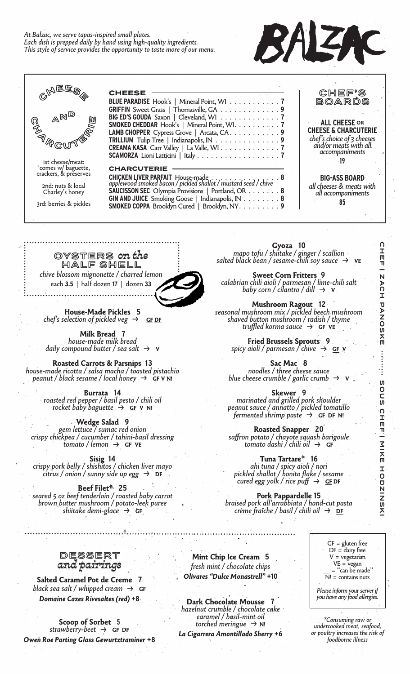## *At Balzac, we serve tapas-inspired small plates. Each dish is prepped daily by hand using high-quality ingredients. This style of service provides the opportunity to taste more of our menu.*





OYSTERS *on the* HALF SHELL *chive blossom mignonette / charred lemon* each **3.5** |half dozen **17** |dozen **33**



**House-Made Pickles 5** *chef's selection of pickled veg*  $\rightarrow$  GF DF

**Milk Bread 7** *house-made milk bread daily compound butter / sea salt →* **<sup>V</sup>**

**Roasted Carrots & Parsnips 13** *house-made ricotta / salsa macha / toasted pistachio peanut / black sesame / local honey →* **GF V N!**

**Burrata 14** *roasted red pepper / basil pesto / chili oil rocket baby baguette <sup>→</sup>* **GF V N!**

**Wedge Salad 9**<br>gem lettuce / sumac red onion *gem lettuce / sumac red onion crispy chickpea / cucumber / tahini-basil dressing tomato / lemon <sup>→</sup>* **GF VE**

**Sisig 14** *crispy pork belly / shishitos / chicken liver mayo citrus / onion / sunny side up egg <sup>→</sup>* **DF**

**Beef Filet\* 25** *seared 5 oz beef tenderloin / roasted baby carrot brown butter mushroom / potato-leek puree shiitake demi-glace <sup>→</sup>* **GF**

**Gyoza 10**<br>**mapo** tofu / shiitake / ginger / scallion *mapo tofu / shiitake / ginger / scallion salted black bean / sesame-chili soy sauce <sup>→</sup>* **VE**

**Sweet Corn Fritters 9** *calabrian chili aioli / parmesan / lime-chili salt baby corn / cilantro / dill <sup>→</sup>* **<sup>V</sup>**

**Mushroom Ragout 12**<br>seasonal mushroom mix / pickled beech mushroom *seasonal mushroom mix / pickled beech mushroom shaved button mushroom / radish / thyme truffled korma sauce <sup>→</sup>* **GF VE**

> **Fried Brussels Sprouts 9** *spicy aioli / parmesan / chive →* **GF V**

**Sac Mac 8** *noodles / three cheese sauce blue cheese crumble / garlic crumb →* **<sup>V</sup>**

**Skewer 9** *marinated and grilled pork shoulder peanut sauce / annatto / pickled tomatillo fermented shrimp paste →* **GF DF N!**

**Roasted Snapper 20** *saffron potato / chayote squash barigoule tomato dashi / chili oil <sup>→</sup>* **GF**

**Tuna Tartare\* 16** *ahi tuna / spicy aioli / nori pickled shallot / bonito flake / sesame cured egg yolk / rice puff →* **GF DF**

**Pork Pappardelle 15** *braised pork all'arrabbiata / hand-cut pasta crème fraîche / basil / chili oil <sup>→</sup>* **DF**

DESSERT *and pairings*

**Salted Caramel Pot de Creme 7** *black sea salt / whipped cream →* **GF** *Domaine Cazes Rivesaltes (red)* **+8**

**Scoop of Sorbet 5** *strawberry-beet →* **GF DF** *Owen Roe Parting Glass Gewurtztraminer* **+8**

**Mint Chip Ice Cream 5** *fresh mint / chocolate chips Olivares "Dulce Monastrell"* **+10**

**Dark Chocolate Mousse 7** *hazelnut crumble / chocolate cake caramel / basil-mint oil torched meringue →* **N!**

*La Cigarrera Amontillado Sherry* **+6**

 $GF = gluten free$  $DF = \frac{1}{2}$  dairy free V = vegetarian  $=$  "can be made"  $\overline{N}$ ! = contains nuts

*Please inform your server if you have any food allergies.* 

*\*Consuming raw or undercooked meat, seafood, or poultry increases the risk of foodborne illness*